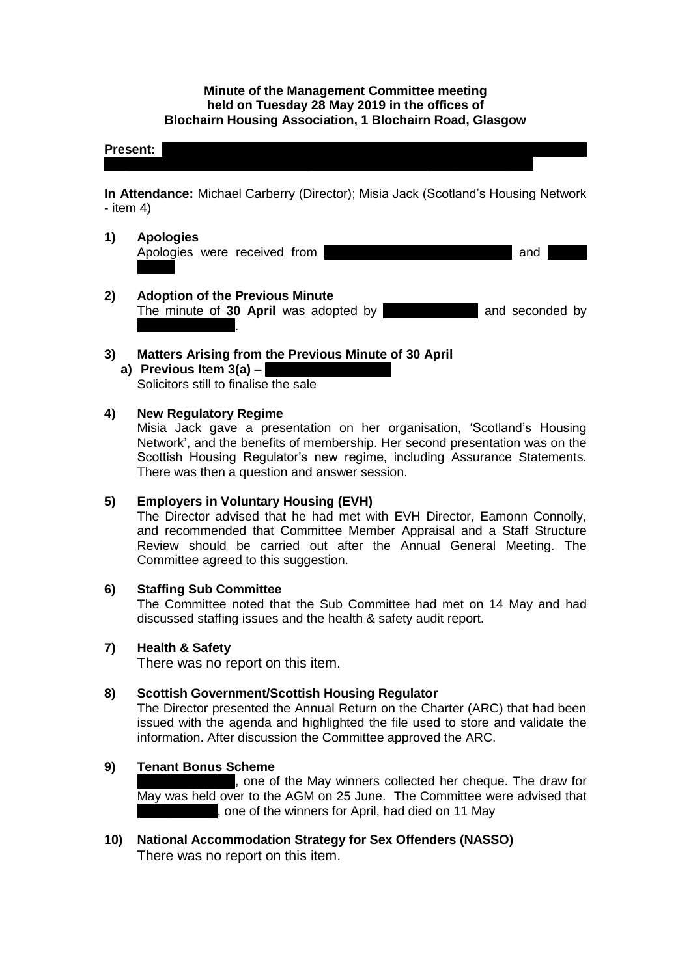#### **Minute of the Management Committee meeting held on Tuesday 28 May 2019 in the offices of Blochairn Housing Association, 1 Blochairn Road, Glasgow**

#### **Present:**  $P_{\text{R}}$

**In Attendance:** Michael Carberry (Director); Misia Jack (Scotland's Housing Network - item 4)

- **1) Apologies** Apologies were received from Rosemary Cairns; Andy Roseman and
- **2) Adoption of the Previous Minute**  The minute of **30 April** was adopted by **Michaelle Moore** and seconded by **Frances Tierney**.

### **3) Matters Arising from the Previous Minute of 30 April**

**a)** Previous Item 3(a) – Solicitors still to finalise the sale

### **4) New Regulatory Regime**

Misia Jack gave a presentation on her organisation, 'Scotland's Housing Network', and the benefits of membership. Her second presentation was on the Scottish Housing Regulator's new regime, including Assurance Statements. There was then a question and answer session.

### **5) Employers in Voluntary Housing (EVH)**

The Director advised that he had met with EVH Director, Eamonn Connolly, and recommended that Committee Member Appraisal and a Staff Structure Review should be carried out after the Annual General Meeting. The Committee agreed to this suggestion.

### **6) Staffing Sub Committee**

The Committee noted that the Sub Committee had met on 14 May and had discussed staffing issues and the health & safety audit report.

### **7) Health & Safety**

There was no report on this item.

### **8) Scottish Government/Scottish Housing Regulator**

The Director presented the Annual Return on the Charter (ARC) that had been issued with the agenda and highlighted the file used to store and validate the information. After discussion the Committee approved the ARC.

### **9) Tenant Bonus Scheme**

, one of the May winners collected her cheque. The draw for May was held over to the AGM on 25 June. The Committee were advised that , one of the winners for April, had died on 11 May

**10) National Accommodation Strategy for Sex Offenders (NASSO)** There was no report on this item.